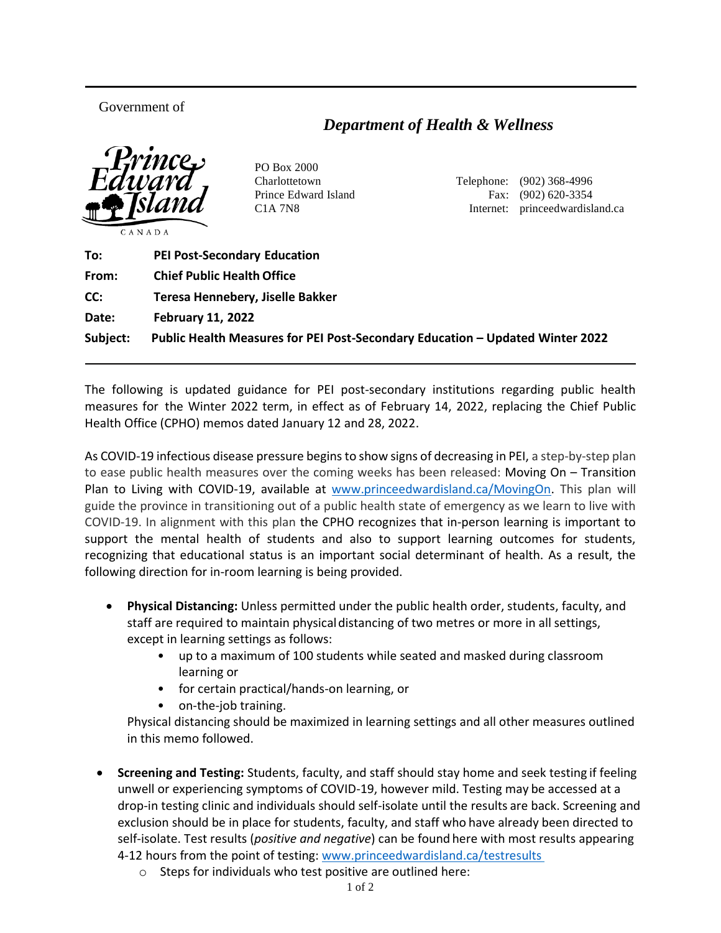## Government of

## *Department of Health & Wellness*



PO Box 2000

Charlottetown Telephone: (902) 368-4996 Prince Edward Island Fax: (902) 620-3354 C1A 7N8 Internet: princeedwardisland.ca

| To:      | <b>PEI Post-Secondary Education</b>                                           |
|----------|-------------------------------------------------------------------------------|
| From:    | <b>Chief Public Health Office</b>                                             |
| CC:      | Teresa Hennebery, Jiselle Bakker                                              |
| Date:    | <b>February 11, 2022</b>                                                      |
| Subject: | Public Health Measures for PEI Post-Secondary Education - Updated Winter 2022 |

The following is updated guidance for PEI post-secondary institutions regarding public health measures for the Winter 2022 term, in effect as of February 14, 2022, replacing the Chief Public Health Office (CPHO) memos dated January 12 and 28, 2022.

As COVID-19 infectious disease pressure begins to show signs of decreasing in PEI, a step-by-step plan to ease public health measures over the coming weeks has been released: Moving On – Transition Plan to Living with COVID-19, available at [www.princeedwardisland.ca/MovingOn.](http://www.princeedwardisland.ca/MovingOn) This plan will guide the province in transitioning out of a public health state of emergency as we learn to live with COVID-19. In alignment with this plan the CPHO recognizes that in-person learning is important to support the mental health of students and also to support learning outcomes for students, recognizing that educational status is an important social determinant of health. As a result, the following direction for in-room learning is being provided.

- **Physical Distancing:** Unless permitted under the public health order, students, faculty, and staff are required to maintain physicaldistancing of two metres or more in all settings, except in learning settings as follows:
	- up to a maximum of 100 students while seated and masked during classroom learning or
	- for certain practical/hands-on learning, or
	- on-the-job training.

Physical distancing should be maximized in learning settings and all other measures outlined in this memo followed.

- **Screening and Testing:** Students, faculty, and staff should stay home and seek testing if feeling unwell or experiencing symptoms of COVID-19, however mild. Testing may be accessed at a drop-in testing clinic and individuals should self-isolate until the results are back. Screening and exclusion should be in place for students, faculty, and staff who have already been directed to self-isolate. Test results (*positive and negative*) can be found here with most results appearing 4-12 hours from the point of testing: [www.princeedwardisland.ca/testresults](http://www.princeedwardisland.ca/testresults)
	- o Steps for individuals who test positive are outlined here: